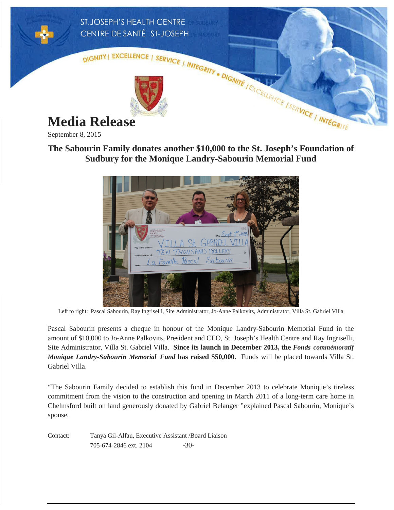

September 8, 2015

## **The Sabourin Family donates another \$10,000 to the St. Joseph's Foundation of Sudbury for the Monique Landry-Sabourin Memorial Fund**



Left to right: Pascal Sabourin, Ray Ingriselli, Site Administrator, Jo-Anne Palkovits, Administrator, Villa St. Gabriel Villa

Pascal Sabourin presents a cheque in honour of the Monique Landry-Sabourin Memorial Fund in the amount of \$10,000 to Jo-Anne Palkovits, President and CEO, St. Joseph's Health Centre and Ray Ingriselli, Site Administrator, Villa St. Gabriel Villa. **Since its launch in December 2013, the** *Fonds commémoratif Monique Landry-Sabourin Memorial Fund* **has raised \$50,000.** Funds will be placed towards Villa St. Gabriel Villa.

"The Sabourin Family decided to establish this fund in December 2013 to celebrate Monique's tireless commitment from the vision to the construction and opening in March 2011 of a long-term care home in Chelmsford built on land generously donated by Gabriel Belanger "explained Pascal Sabourin, Monique's spouse.

Contact: Tanya Gil-Alfau, Executive Assistant /Board Liaison 705-674-2846 ext. 2104 -30-